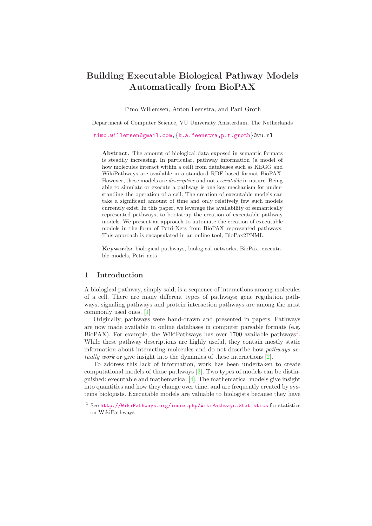# Building Executable Biological Pathway Models Automatically from BioPAX

Timo Willemsen, Anton Feenstra, and Paul Groth

Department of Computer Science, VU University Amsterdam, The Netherlands

[timo.willemsen@gmail.com,](mailto:timo.willemsen@gmail.com){[k.a.feenstra](mailto:k.a.feenstra@vu.nl)[,p.t.groth](mailto:p.t.groth@vu.nl)}@vu.nl

Abstract. The amount of biological data exposed in semantic formats is steadily increasing. In particular, pathway information (a model of how molecules interact within a cell) from databases such as KEGG and WikiPathways are available in a standard RDF-based format BioPAX. However, these models are descriptive and not executable in nature. Being able to simulate or execute a pathway is one key mechanism for understanding the operation of a cell. The creation of executable models can take a significant amount of time and only relatively few such models currently exist. In this paper, we leverage the availability of semantically represented pathways, to bootstrap the creation of executable pathway models. We present an approach to automate the creation of executable models in the form of Petri-Nets from BioPAX represented pathways. This approach is encapsulated in an online tool, BioPax2PNML.

Keywords: biological pathways, biological networks, BioPax, executable models, Petri nets

# 1 Introduction

A biological pathway, simply said, is a sequence of interactions among molecules of a cell. There are many different types of pathways; gene regulation pathways, signaling pathways and protein interaction pathways are among the most commonly used ones. [\[1\]](#page-11-0)

Originally, pathways were hand-drawn and presented in papers. Pathways are now made available in online databases in computer parsable formats (e.g. BioPAX). For example, the WikiPathways has over  $1700$  $1700$  available pathways<sup>1</sup>. While these pathway descriptions are highly useful, they contain mostly static information about interacting molecules and do not describe how pathways actually work or give insight into the dynamics of these interactions [\[2\]](#page-11-1).

To address this lack of information, work has been undertaken to create computational models of these pathways [\[3\]](#page-11-2). Two types of models can be distinguished: executable and mathematical [\[4\]](#page-11-3). The mathematical models give insight into quantities and how they change over time, and are frequently created by systems biologists. Executable models are valuable to biologists because they have

<span id="page-0-0"></span><sup>&</sup>lt;sup>1</sup> See <http://WikiPathways.org/index.php/WikiPathways:Statistics> for statistics on WikiPathways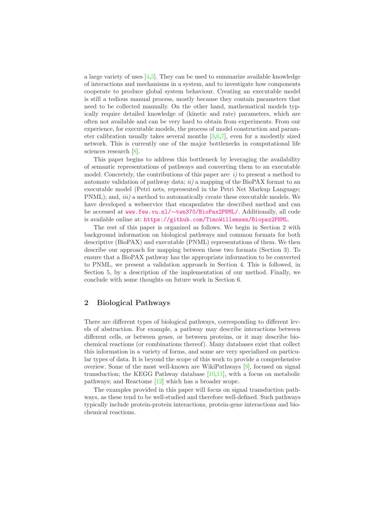a large variety of uses  $[4,5]$  $[4,5]$ . They can be used to summarize available knowledge of interactions and mechanisms in a system, and to investigate how components cooperate to produce global system behaviour. Creating an executable model is still a tedious manual process, mostly because they contain parameters that need to be collected manually. On the other hand, mathematical models typically require detailed knowledge of (kinetic and rate) parameters, which are often not available and can be very hard to obtain from experiments. From our experience, for executable models, the process of model construction and parameter calibration usually takes several months  $[3,6,7]$  $[3,6,7]$  $[3,6,7]$ , even for a modestly sized network. This is currently one of the major bottlenecks in computational life sciences research [\[8\]](#page-11-7).

This paper begins to address this bottleneck by leveraging the availability of semantic representations of pathways and converting them to an executable model. Concretely, the contributions of this paper are:  $i$ ) to present a method to automate validation of pathway data;  $ii)$  a mapping of the BioPAX format to an executable model (Petri nets, represented in the Petri Net Markup Language; PNML); and, *iii*) a method to automatically create these executable models. We have developed a webservice that encapsulates the described method and can be accessed at www.few.vu.nl/∼[twn370/BioPax2PNML/](http://www.few.vu.nl/~twn370/BioPax2PNML/). Additionally, all code is available online at: <https://github.com/TimoWillemsen/Biopax2PNML>.

The rest of this paper is organized as follows. We begin in Section 2 with background information on biological pathways and common formats for both descriptive (BioPAX) and executable (PNML) representations of them. We then describe our approach for mapping between these two formats (Section 3). To ensure that a BioPAX pathway has the appropriate information to be converted to PNML, we present a validation approach in Section 4. This is followed, in Section 5, by a description of the implementation of our method. Finally, we conclude with some thoughts on future work in Section 6.

# 2 Biological Pathways

There are different types of biological pathways, corresponding to different levels of abstraction. For example, a pathway may describe interactions between different cells, or between genes, or between proteins, or it may describe biochemical reactions (or combinations thereof). Many databases exist that collect this information in a variety of forms, and some are very specialized on particular types of data. It is beyond the scope of this work to provide a comprehensive overiew. Some of the most well-known are WikiPathways [\[9\]](#page-11-8), focused on signal transduction; the KEGG Pathway database  $[10,11]$  $[10,11]$ , with a focus on metabolic pathways; and Reactome [\[12\]](#page-11-11) which has a broader scope.

The examples provided in this paper will focus on signal transduction pathways, as these tend to be well-studied and therefore well-defined. Such pathways typically include protein-protein interactions, protein-gene interactions and biochemical reactions.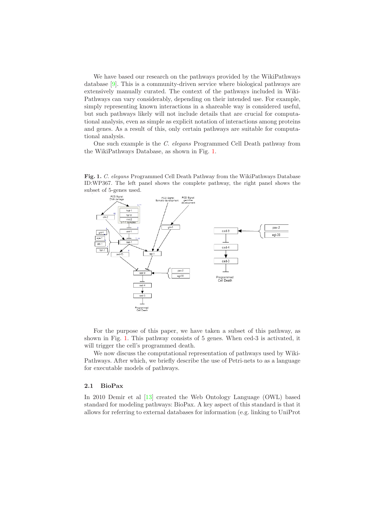We have based our research on the pathways provided by the WikiPathways database [\[9\]](#page-11-8). This is a community-driven service where biological pathways are extensively manually curated. The context of the pathways included in Wiki-Pathways can vary considerably, depending on their intended use. For example, simply representing known interactions in a shareable way is considered useful, but such pathways likely will not include details that are crucial for computational analysis, even as simple as explicit notation of interactions among proteins and genes. As a result of this, only certain pathways are suitable for computational analysis.

One such example is the C. elegans Programmed Cell Death pathway from the WikiPathways Database, as shown in Fig. [1.](#page-2-0)

Fig. 1. C. elegans Programmed Cell Death Pathway from the WikiPathways Database ID:WP367. The left panel shows the complete pathway, the right panel shows the subset of 5-genes used.

<span id="page-2-0"></span>

For the purpose of this paper, we have taken a subset of this pathway, as shown in Fig. [1.](#page-2-0) This pathway consists of 5 genes. When ced-3 is activated, it will trigger the cell's programmed death.

We now discuss the computational representation of pathways used by Wiki-Pathways. After which, we briefly describe the use of Petri-nets to as a language for executable models of pathways.

# 2.1 BioPax

In 2010 Demir et al [\[13\]](#page-11-12) created the Web Ontology Language (OWL) based standard for modeling pathways: BioPax. A key aspect of this standard is that it allows for referring to external databases for information (e.g. linking to UniProt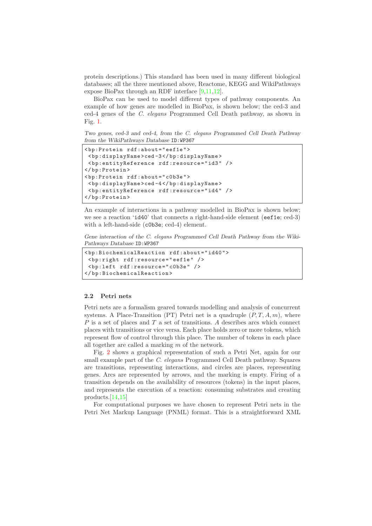protein descriptions.) This standard has been used in many different biological databases; all the three mentioned above, Reactome, KEGG and WikiPathways expose BioPax through an RDF interface [\[9](#page-11-8)[,11,](#page-11-10)[12\]](#page-11-11).

BioPax can be used to model different types of pathway components. An example of how genes are modelled in BioPax, is shown below; the ced-3 and ced-4 genes of the C. elegans Programmed Cell Death pathway, as shown in Fig. [1.](#page-2-0)

Two genes, ced-3 and ced-4, from the C. elegans Programmed Cell Death Pathway from the WikiPathways Database ID:WP367

```
< bp:Protein rdf:about =" eef1e " >
 < bp:displayName >ced -3 </ bp:displayName >
 < bp:entityReference rdf:resource = " id3 " / >
</ bp:Protein >
< bp:Protein rdf:about =" c0b3e " >
 < bp:displayName >ced -4 </ bp:displayName >
 < bp:entityReference rdf:resource = " id4 " / >
</ bp:Protein >
```
An example of interactions in a pathway modelled in BioPax is shown below; we see a reaction 'id40' that connects a right-hand-side element (eef1e; ced-3) with a left-hand-side (c0b3e; ced-4) element.

Gene interaction of the C. elegans Programmed Cell Death Pathway from the Wiki-Pathways Database ID:WP367

```
< bp:BiochemicalReaction rdf:about = " id40 " >
 < bp:right rdf:resource = " eef1e " / >
 < bp:left rdf:resource = " c0b3e " / >
</ bp:BiochemicalReaction >
```
### 2.2 Petri nets

Petri nets are a formalism geared towards modelling and analysis of concurrent systems. A Place-Transition (PT) Petri net is a quadruple  $(P, T, A, m)$ , where  $P$  is a set of places and  $T$  a set of transitions. A describes arcs which connect places with transitions or vice versa. Each place holds zero or more tokens, which represent flow of control through this place. The number of tokens in each place all together are called a marking m of the network.

Fig. [2](#page-4-0) shows a graphical representation of such a Petri Net, again for our small example part of the C. elegans Programmed Cell Death pathway. Squares are transitions, representing interactions, and circles are places, representing genes. Arcs are represented by arrows, and the marking is empty. Firing of a transition depends on the availability of resources (tokens) in the input places, and represents the execution of a reaction: consuming substrates and creating products.[\[14](#page-11-13)[,15\]](#page-12-0)

For computational purposes we have chosen to represent Petri nets in the Petri Net Markup Language (PNML) format. This is a straightforward XML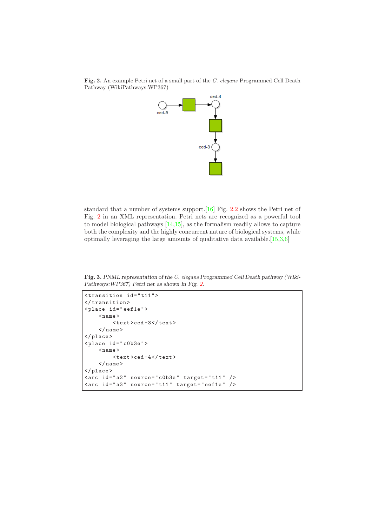<span id="page-4-0"></span>Fig. 2. An example Petri net of a small part of the C. elegans Programmed Cell Death Pathway (WikiPathways:WP367)



standard that a number of systems support.[\[16\]](#page-12-1) Fig. [2.2](#page-4-0) shows the Petri net of Fig. [2](#page-4-0) in an XML representation. Petri nets are recognized as a powerful tool to model biological pathways [\[14,](#page-11-13)[15\]](#page-12-0), as the formalism readily allows to capture both the complexity and the highly concurrent nature of biological systems, while optimally leveraging the large amounts of qualitative data available.[\[15,](#page-12-0)[3,](#page-11-2)[6\]](#page-11-5)

Fig. 3. PNML representation of the C. elegans Programmed Cell Death pathway (Wiki-Pathways:WP367) Petri net as shown in Fig. [2.](#page-4-0)

```
\langletransition id="t11">
</ transition >
\langleplace id="eef1e">
    <name>< text >ced -3 </ text >
     \langle/name>
</ place >
< place id = " c0b3e " >
     <name>\timestext>ced-4</text>\langle/name>
</ place >
\text{~} <arc id="a2" source="c0b3e" target="t11" />
\text{~} <arc id="a3" source="t11" target="eef1e" />
```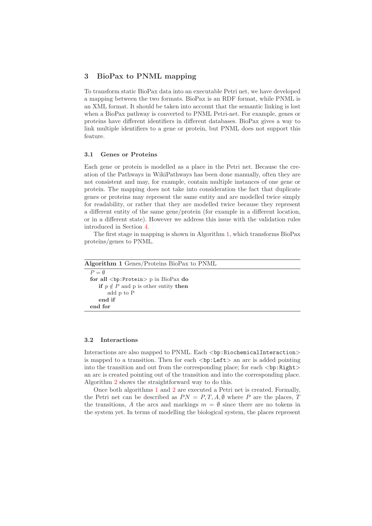# <span id="page-5-1"></span>3 BioPax to PNML mapping

To transform static BioPax data into an executable Petri net, we have developed a mapping between the two formats. BioPax is an RDF format, while PNML is an XML format. It should be taken into account that the semantic linking is lost when a BioPax pathway is converted to PNML Petri-net. For example, genes or proteins have different identifiers in different databases. BioPax gives a way to link multiple identifiers to a gene or protein, but PNML does not support this feature.

### 3.1 Genes or Proteins

Each gene or protein is modelled as a place in the Petri net. Because the creation of the Pathways in WikiPathways has been done manually, often they are not consistent and may, for example, contain multiple instances of one gene or protein. The mapping does not take into consideration the fact that duplicate genes or proteins may represent the same entity and are modelled twice simply for readability, or rather that they are modelled twice because they represent a different entity of the same gene/protein (for example in a different location, or in a different state). However we address this issue with the validation rules introduced in Section [4.](#page-6-0)

The first stage in mapping is shown in Algorithm [1,](#page-5-0) which transforms BioPax proteins/genes to PNML.

<span id="page-5-0"></span>

| <b>Algorithm 1</b> Genes/Proteins BioPax to PNML    |
|-----------------------------------------------------|
| $P = \emptyset$                                     |
| for all $\langle bp:Protein \rangle p$ in BioPax do |
| if $p \notin P$ and p is other entity then          |
| add p to P                                          |
| end if                                              |
| end for                                             |
|                                                     |

# 3.2 Interactions

Interactions are also mapped to PNML. Each <br/> <br/> <br/>stochemicalInteraction> is mapped to a transition. Then for each  $\langle bp:Left \rangle$  an arc is added pointing into the transition and out from the corresponding place; for each <br/> <br/> <br/> <br/> <br/> <br/>Australian to the transition and out from the corresponding place; for each<br/> $\langle$ bp:Right> an arc is created pointing out of the transition and into the corresponding place. Algorithm [2](#page-6-1) shows the straightforward way to do this.

Once both algorithms [1](#page-5-0) and [2](#page-6-1) are executed a Petri net is created. Formally, the Petri net can be described as  $PN = P, T, A, \emptyset$  where P are the places, T the transitions, A the arcs and markings  $m = \emptyset$  since there are no tokens in the system yet. In terms of modelling the biological system, the places represent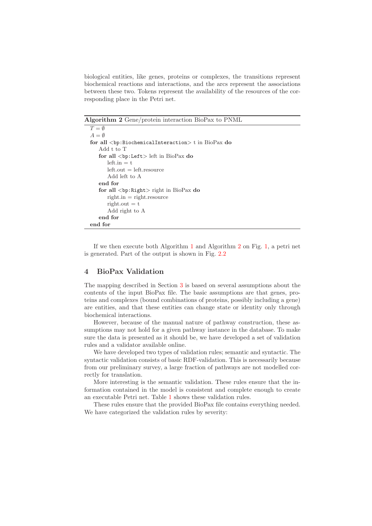biological entities, like genes, proteins or complexes, the transitions represent biochemical reactions and interactions, and the arcs represent the associations between these two. Tokens represent the availability of the resources of the corresponding place in the Petri net.

<span id="page-6-1"></span>Algorithm 2 Gene/protein interaction BioPax to PNML

```
T = \emptysetA = \emptysetfor all <\!\!{\tt bp: BiochemicalInteraction}\!\!>t in {\rm BioPax} do
   Add t to T
   for all <bp:Left> left in BioPax do
       left.in = tleft.out = left.resource
       Add left to A
   end for
    for all <bp:Right> right in BioPax do
       right.in = right.resource
       right.out = tAdd right to A
   end for
end for
```
If we then execute both Algorithm [1](#page-5-0) and Algorithm [2](#page-6-1) on Fig. [1,](#page-2-0) a petri net is generated. Part of the output is shown in Fig. [2.2](#page-4-0)

# <span id="page-6-0"></span>4 BioPax Validation

The mapping described in Section [3](#page-5-1) is based on several assumptions about the contents of the input BioPax file. The basic assumptions are that genes, proteins and complexes (bound combinations of proteins, possibly including a gene) are entities, and that these entities can change state or identity only through biochemical interactions.

However, because of the manual nature of pathway construction, these assumptions may not hold for a given pathway instance in the database. To make sure the data is presented as it should be, we have developed a set of validation rules and a validator available online.

We have developed two types of validation rules; semantic and syntactic. The syntactic validation consists of basic RDF-validation. This is necessarily because from our preliminary survey, a large fraction of pathways are not modelled correctly for translation.

More interesting is the semantic validation. These rules ensure that the information contained in the model is consistent and complete enough to create an executable Petri net. Table [1](#page-7-0) shows these validation rules.

These rules ensure that the provided BioPax file contains everything needed. We have categorized the validation rules by severity: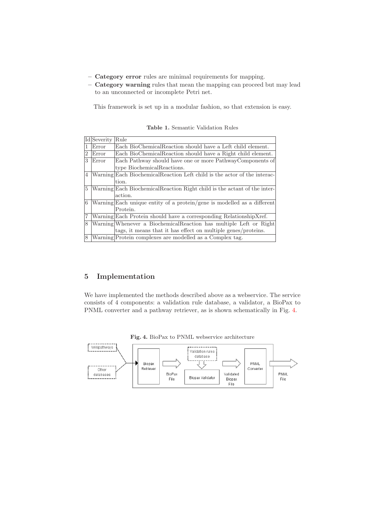- Category error rules are minimal requirements for mapping.
- Category warning rules that mean the mapping can proceed but may lead to an unconnected or incomplete Petri net.

This framework is set up in a modular fashion, so that extension is easy.

|   | Id Severity | Rule                                                                      |
|---|-------------|---------------------------------------------------------------------------|
| 1 | Error       | Each BioChemicalReaction should have a Left child element.                |
| 2 | Error       | Each BioChemicalReaction should have a Right child element.               |
| 3 | Error       | Each Pathway should have one or more PathwayComponents of                 |
|   |             | type BiochemicalReactions.                                                |
| 4 |             | Warning Each Biochemical Reaction Left child is the actor of the interac- |
|   |             | tion.                                                                     |
| 5 |             | Warning Each Biochemical Reaction Right child is the actant of the inter- |
|   |             | action.                                                                   |
| 6 |             | Warning Each unique entity of a protein/gene is modelled as a different   |
|   |             | Protein.                                                                  |
| 7 |             | Warning Each Protein should have a corresponding Relationship Xref.       |
| 8 |             | Warning Whenever a Biochemical Reaction has multiple Left or Right        |
|   |             | tags, it means that it has effect on multiple genes/proteins.             |
| 8 |             | Warning Protein complexes are modelled as a Complex tag.                  |

<span id="page-7-0"></span>Table 1. Semantic Validation Rules

# 5 Implementation

We have implemented the methods described above as a webservice. The service consists of 4 components: a validation rule database, a validator, a BioPax to PNML converter and a pathway retriever, as is shown schematically in Fig. [4.](#page-7-1)



<span id="page-7-1"></span>Fig. 4. BioPax to PNML webservice architecture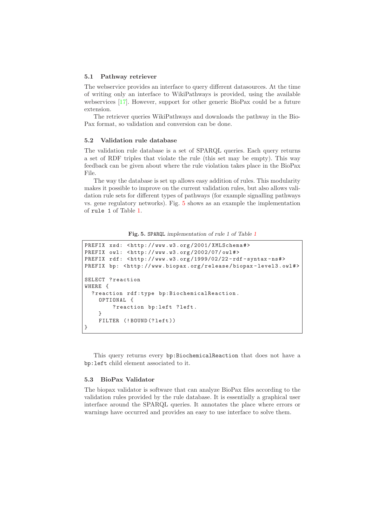#### 5.1 Pathway retriever

The webservice provides an interface to query different datasources. At the time of writing only an interface to WikiPathways is provided, using the available webservices [\[17\]](#page-12-2). However, support for other generic BioPax could be a future extension.

The retriever queries WikiPathways and downloads the pathway in the Bio-Pax format, so validation and conversion can be done.

# 5.2 Validation rule database

The validation rule database is a set of SPARQL queries. Each query returns a set of RDF triples that violate the rule (this set may be empty). This way feedback can be given about where the rule violation takes place in the BioPax File.

The way the database is set up allows easy addition of rules. This modularity makes it possible to improve on the current validation rules, but also allows validation rule sets for different types of pathways (for example signalling pathways vs. gene regulatory networks). Fig. [5](#page-8-0) shows as an example the implementation of rule 1 of Table [1.](#page-7-0)

<span id="page-8-0"></span>Fig. 5. SPARQL implementation of rule 1 of Table [1](#page-7-0)

```
PREFIX xsd: <http://www.w3.org/2001/XMLSchema#>
PREFIX owl: < http: // www . w3 . org /2002/07/ owl # >
PREFIX rdf: <http://www.w3.org/1999/02/22-rdf-syntax-ns#>
PREFIX bp: <http://www.biopax.org/release/biopax-level3.owl#>
SELECT ? reaction
WHERE {
  ? reaction rdf:type bp:BiochemicalReaction .
    OPTIONAL {
        ? reaction bp: left ? left.
    }
    FILTER (!BOUND (?left))
}
```
This query returns every bp:BiochemicalReaction that does not have a bp:left child element associated to it.

#### 5.3 BioPax Validator

The biopax validator is software that can analyze BioPax files according to the validation rules provided by the rule database. It is essentially a graphical user interface around the SPARQL queries. It annotates the place where errors or warnings have occurred and provides an easy to use interface to solve them.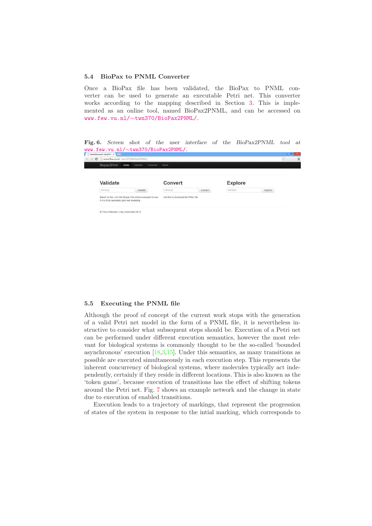#### 5.4 BioPax to PNML Converter

Once a BioPax file has been validated, the BioPax to PNML converter can be used to generate an executable Petri net. This converter works according to the mapping described in Section [3.](#page-5-1) This is implemented as an online tool, named BioPax2PNML, and can be accessed on www.few.vu.nl/∼[twn370/BioPax2PNML/](http://www.few.vu.nl/~twn370/BioPax2PNML/).

Fig. 6. Screen shot of the user interface of the BioPax2PNML tool at www.few.vu.nl/∼[twn370/BioPax2PNML/](http://www.few.vu.nl/~twn370/BioPax2PNML/).

| <b>Validate</b>                                |                                                             | <b>Convert</b>                     |         | <b>Explore</b> |         |
|------------------------------------------------|-------------------------------------------------------------|------------------------------------|---------|----------------|---------|
| WPXXXX                                         | Validate                                                    | WPXXXX                             | Convert | WPXXXX         | Explore |
| if it is fit for automatic petri-net modelling | Based on the rules the Biopax File will be evaluated to see | Use this to download the PNML file |         |                |         |

#### 5.5 Executing the PNML file

Although the proof of concept of the current work stops with the generation of a valid Petri net model in the form of a PNML file, it is nevertheless instructive to consider what subsequent steps should be. Execution of a Petri net can be performed under different execution semantics, however the most relevant for biological systems is commonly thought to be the so-called 'bounded asynchronous' execution [\[18](#page-12-3)[,3,](#page-11-2)[15\]](#page-12-0). Under this semantics, as many transitions as possible are executed simultaneously in each execution step. This represents the inherent concurrency of biological systems, where molecules typically act independently, certainly if they reside in different locations. This is also known as the 'token game', because execution of transitions has the effect of shifting tokens around the Petri net. Fig. [7](#page-10-0) shows an example network and the change in state due to execution of enabled transitions.

Execution leads to a trajectory of markings, that represent the progression of states of the system in response to the intial marking, which corresponds to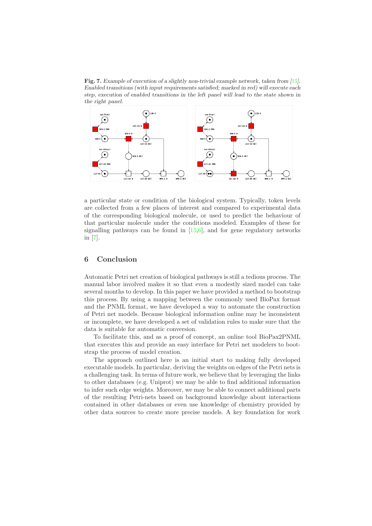<span id="page-10-0"></span>Fig. 7. Example of execution of a slightly non-trivial example network, taken from [\[15\]](#page-12-0). Enabled transitions (with input requirements satisfied; marked in red) will execute each step, execution of enabled transitions in the left panel will lead to the state shown in the right panel.



a particular state or condition of the biological system. Typically, token levels are collected from a few places of interest and compared to experimental data of the corresponding biological molecule, or used to predict the behaviour of that particular molecule under the conditions modeled. Examples of these for signalling pathways can be found in  $[15,6]$  $[15,6]$ , and for gene regulatory networks in [\[7\]](#page-11-6).

# 6 Conclusion

Automatic Petri net creation of biological pathways is still a tedious process. The manual labor involved makes it so that even a modestly sized model can take several months to develop. In this paper we have provided a method to bootstrap this process. By using a mapping between the commonly used BioPax format and the PNML format, we have developed a way to automate the construction of Petri net models. Because biological information online may be inconsistent or incomplete, we have developed a set of validation rules to make sure that the data is suitable for automatic conversion.

To facilitate this, and as a proof of concept, an online tool BioPax2PNML that executes this and provide an easy interface for Petri net modelers to bootstrap the process of model creation.

The approach outlined here is an initial start to making fully developed executable models. In particular, deriving the weights on edges of the Petri nets is a challenging task. In terms of future work, we believe that by leveraging the links to other databases (e.g. Uniprot) we may be able to find additional information to infer such edge weights. Moreover, we may be able to connect additional parts of the resulting Petri-nets based on background knowledge about interactions contained in other databases or even use knowledge of chemistry provided by other data sources to create more precise models. A key foundation for work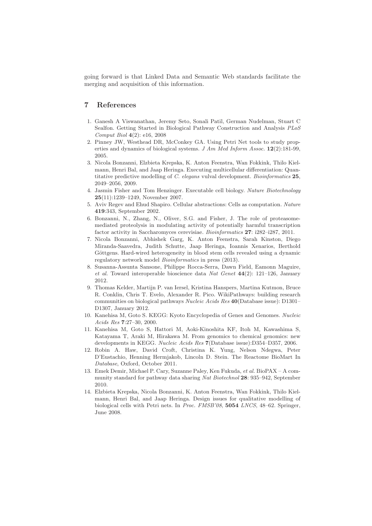going forward is that Linked Data and Semantic Web standards facilitate the merging and acquisition of this information.

# <span id="page-11-0"></span>7 References

- 1. Ganesh A Viswanathan, Jeremy Seto, Sonali Patil, German Nudelman, Stuart C Sealfon. Getting Started in Biological Pathway Construction and Analysis PLoS Comput Biol 4(2): e16, 2008
- <span id="page-11-1"></span>2. Pinney JW, Westhead DR, McConkey GA. Using Petri Net tools to study properties and dynamics of biological systems. J Am Med Inform Assoc.  $12(2):181-99$ , 2005.
- <span id="page-11-2"></span>3. Nicola Bonzanni, Elzbieta Krepska, K. Anton Feenstra, Wan Fokkink, Thilo Kielmann, Henri Bal, and Jaap Heringa. Executing multicellular differentiation: Quantitative predictive modelling of C. elegans vulval development. Bioinformatics 25, 2049–2056, 2009.
- <span id="page-11-3"></span>4. Jasmin Fisher and Tom Henzinger. Executable cell biology. Nature Biotechnology 25(11):1239–1249, November 2007.
- <span id="page-11-5"></span><span id="page-11-4"></span>5. Aviv Regev and Ehud Shapiro. Cellular abstractions: Cells as computation. Nature 419:343, September 2002.
- 6. Bonzanni, N., Zhang, N., Oliver, S.G. and Fisher, J. The role of proteasomemediated proteolysis in modulating activity of potentially harmful transcription factor activity in Saccharomyces cerevisiae. Bioinformatics 27: i282-i287, 2011.
- <span id="page-11-6"></span>7. Nicola Bonzanni, Abhishek Garg, K. Anton Feenstra, Sarah Kinston, Diego Miranda-Saavedra, Judith Schutte, Jaap Heringa, Ioannis Xenarios, Berthold Göttgens. Hard-wired heterogeneity in blood stem cells revealed using a dynamic regulatory network model Bioinformatics in press (2013).
- <span id="page-11-7"></span>8. Susanna-Assunta Sansone, Philippe Rocca-Serra, Dawn Field, Eamonn Maguire, et al. Toward interoperable bioscience data Nat Genet  $44(2)$ : 121–126, January 2012.
- <span id="page-11-8"></span>9. Thomas Kelder, Martijn P. van Iersel, Kristina Hanspers, Martina Kutmon, Bruce R. Conklin, Chris T. Evelo, Alexander R. Pico. WikiPathways: building research communities on biological pathways Nucleic Acids Res 40(Database issue): D1301– D1307, January 2012.
- <span id="page-11-9"></span>10. Kanehisa M, Goto S. KEGG: Kyoto Encyclopedia of Genes and Genomes. Nucleic Acids Res 7:27-30, 2000.
- <span id="page-11-10"></span>11. Kanehisa M, Goto S, Hattori M, Aoki-Kinoshita KF, Itoh M, Kawashima S, Katayama T, Araki M, Hirakawa M. From genomics to chemical genomics: new developments in KEGG. Nucleic Acids Res 7(Database issue):D354–D357, 2006.
- <span id="page-11-11"></span>12. Robin A. Haw, David Croft, Christina K. Yung, Nelson Ndegwa, Peter D'Eustachio, Henning Hermjakob, Lincoln D. Stein. The Reactome BioMart In Database, Oxford, October 2011.
- <span id="page-11-12"></span>13. Emek Demir, Michael P. Cary, Suzanne Paley, Ken Fukuda, et al. BioPAX – A community standard for pathway data sharing Nat Biotechnol 28: 935–942, September 2010.
- <span id="page-11-13"></span>14. Elzbieta Krepska, Nicola Bonzanni, K. Anton Feenstra, Wan Fokkink, Thilo Kielmann, Henri Bal, and Jaap Heringa. Design issues for qualitative modelling of biological cells with Petri nets. In Proc. FMSB'08, 5054 LNCS, 48–62. Springer, June 2008.